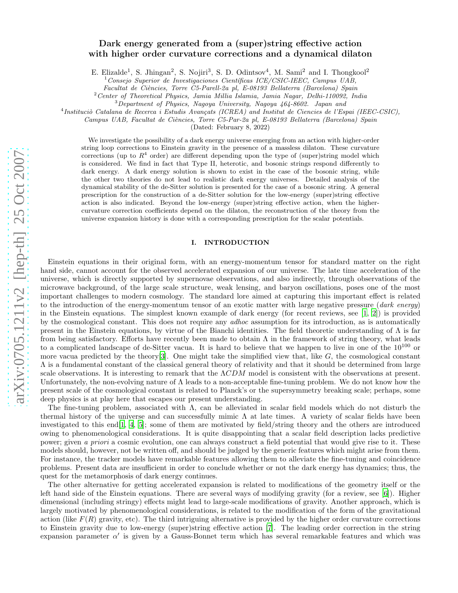# arXiv:0705.1211v2 [hep-th] 25 Oct 2007 [arXiv:0705.1211v2 \[hep-th\] 25 Oct 2007](http://arxiv.org/abs/0705.1211v2)

# Dark energy generated from a (super)string effective action with higher order curvature corrections and a dynamical dilaton

E. Elizalde<sup>1</sup>, S. Jhingan<sup>2</sup>, S. Nojiri<sup>3</sup>, S. D. Odintsov<sup>4</sup>, M. Sami<sup>2</sup> and I. Thongkool<sup>2</sup>

 $1$ Consejo Superior de Investigaciones Científicas ICE/CSIC-IEEC, Campus UAB,

Facultat de Ciències, Torre C5-Parell-2a pl, E-08193 Bellaterra (Barcelona) Spain

 $2$ Center of Theoretical Physics, Jamia Millia Islamia, Jamia Nagar, Delhi-110092, India

 $3$ Department of Physics, Nagoya University, Nagoya 464-8602. Japan and

<sup>4</sup>Instituciò Catalana de Recerca i Estudis Avançats (ICREA) and Institut de Ciencies de l'Espai (IEEC-CSIC),

Campus UAB, Facultat de Ciències, Torre C5-Par-2a pl, E-08193 Bellaterra (Barcelona) Spain

(Dated: February 8, 2022)

We investigate the possibility of a dark energy universe emerging from an action with higher-order string loop corrections to Einstein gravity in the presence of a massless dilaton. These curvature corrections (up to  $R<sup>4</sup>$  order) are different depending upon the type of (super)string model which is considered. We find in fact that Type II, heterotic, and bosonic strings respond differently to dark energy. A dark energy solution is shown to exist in the case of the bosonic string, while the other two theories do not lead to realistic dark energy universes. Detailed analysis of the dynamical stability of the de-Sitter solution is presented for the case of a bosonic string. A general prescription for the construction of a de-Sitter solution for the low-energy (super)string effective action is also indicated. Beyond the low-energy (super)string effective action, when the highercurvature correction coefficients depend on the dilaton, the reconstruction of the theory from the universe expansion history is done with a corresponding prescription for the scalar potentials.

# I. INTRODUCTION

Einstein equations in their original form, with an energy-momentum tensor for standard matter on the right hand side, cannot account for the observed accelerated expansion of our universe. The late time acceleration of the universe, which is directly supported by supernovae observations, and also indirectly, through observations of the microwave background, of the large scale structure, weak lensing, and baryon oscillations, poses one of the most important challenges to modern cosmology. The standard lore aimed at capturing this important effect is related to the introduction of the energy-momentum tensor of an exotic matter with large negative pressure (*dark energy*) in the Einstein equations. The simplest known example of dark energy (for recent reviews, see [\[1,](#page-14-0) [2\]](#page-14-1)) is provided by the cosmological constant. This does not require any *adhoc* assumption for its introduction, as is automatically present in the Einstein equations, by virtue of the Bianchi identities. The field theoretic understanding of  $\Lambda$  is far from being satisfactory. Efforts have recently been made to obtain  $\Lambda$  in the framework of string theory, what leads to a complicated landscape of de-Sitter vacua. It is hard to believe that we happen to live in one of the  $10^{100}$  or more vacua predicted by the theory  $[3]$  $[3]$ . One might take the simplified view that, like  $G$ , the cosmological constant Λ is a fundamental constant of the classical general theory of relativity and that it should be determined from large scale observations. It is interesting to remark that the  $\Lambda CDM$  model is consistent with the observations at present. Unfortunately, the non-evolving nature of  $\Lambda$  leads to a non-acceptable fine-tuning problem. We do not know how the present scale of the cosmological constant is related to Planck's or the supersymmetry breaking scale; perhaps, some deep physics is at play here that escapes our present understanding.

The fine-tuning problem, associated with  $\Lambda$ , can be alleviated in scalar field models which do not disturb the thermal history of the universe and can successfully mimic  $\Lambda$  at late times. A variety of scalar fields have been investigated to this end[\[1](#page-14-0), [4,](#page-14-3) [5\]](#page-14-4); some of them are motivated by field/string theory and the others are introduced owing to phenomenological considerations. It is quite disappointing that a scalar field description lacks predictive power; given a priori a cosmic evolution, one can always construct a field potential that would give rise to it. These models should, however, not be written off, and should be judged by the generic features which might arise from them. For instance, the tracker models have remarkable features allowing them to alleviate the fine-tuning and coincidence problems. Present data are insufficient in order to conclude whether or not the dark energy has dynamics; thus, the quest for the metamorphosis of dark energy continues.

The other alternative for getting accelerated expansion is related to modifications of the geometry itself or the left hand side of the Einstein equations. There are several ways of modifying gravity (for a review, see [\[6](#page-14-5)]). Higher dimensional (including stringy) effects might lead to large-scale modifications of gravity. Another approach, which is largely motivated by phenomenological considerations, is related to the modification of the form of the gravitational action (like  $F(R)$  gravity, etc). The third intriguing alternative is provided by the higher order curvature corrections to Einstein gravity due to low-energy (super)string effective action [\[7](#page-14-6)]. The leading order correction in the string expansion parameter  $\alpha'$  is given by a Gauss-Bonnet term which has several remarkable features and which was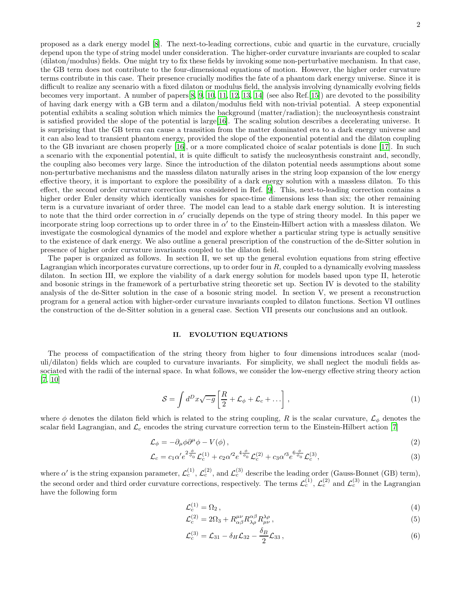proposed as a dark energy model [\[8\]](#page-14-7). The next-to-leading corrections, cubic and quartic in the curvature, crucially depend upon the type of string model under consideration. The higher-order curvature invariants are coupled to scalar (dilaton/modulus) fields. One might try to fix these fields by invoking some non-perturbative mechanism. In that case, the GB term does not contribute to the four-dimensional equations of motion. However, the higher order curvature terms contribute in this case. Their presence crucially modifies the fate of a phantom dark energy universe. Since it is difficult to realize any scenario with a fixed dilaton or modulus field, the analysis involving dynamically evolving fields becomes very important. A number of papers[\[8](#page-14-7), [9,](#page-14-8) [10,](#page-14-9) [11,](#page-14-10) [12,](#page-14-11) [13,](#page-14-12) [14\]](#page-14-13) (see also Ref.[\[15\]](#page-14-14)) are devoted to the possibility of having dark energy with a GB term and a dilaton/modulus field with non-trivial potential. A steep exponential potential exhibits a scaling solution which mimics the background (matter/radiation); the nucleosynthesis constraint is satisfied provided the slope of the potential is large[\[16](#page-14-15)]. The scaling solution describes a decelerating universe. It is surprising that the GB term can cause a transition from the matter dominated era to a dark energy universe and it can also lead to transient phantom energy, provided the slope of the exponential potential and the dilaton coupling to the GB invariant are chosen properly [\[16\]](#page-14-15), or a more complicated choice of scalar potentials is done [\[17\]](#page-14-16). In such a scenario with the exponential potential, it is quite difficult to satisfy the nucleosynthesis constraint and, secondly, the coupling also becomes very large. Since the introduction of the dilaton potential needs assumptions about some non-perturbative mechanisms and the massless dilaton naturally arises in the string loop expansion of the low energy effective theory, it is important to explore the possibility of a dark energy solution with a massless dilaton. To this effect, the second order curvature correction was considered in Ref. [\[9](#page-14-8)]. This, next-to-leading correction contains a higher order Euler density which identically vanishes for space-time dimensions less than six; the other remaining term is a curvature invariant of order three. The model can lead to a stable dark energy solution. It is interesting to note that the third order correction in  $\alpha'$  crucially depends on the type of string theory model. In this paper we incorporate string loop corrections up to order three in  $\alpha'$  to the Einstein-Hilbert action with a massless dilaton. We investigate the cosmological dynamics of the model and explore whether a particular string type is actually sensitive to the existence of dark energy. We also outline a general prescription of the construction of the de-Sitter solution in presence of higher order curvature invariants coupled to the dilaton field.

The paper is organized as follows. In section II, we set up the general evolution equations from string effective Lagrangian which incorporates curvature corrections, up to order four in  $R$ , coupled to a dynamically evolving massless dilaton. In section III, we explore the viability of a dark energy solution for models based upon type II, heterotic and bosonic strings in the framework of a perturbative string theoretic set up. Section IV is devoted to the stability analysis of the de-Sitter solution in the case of a bosonic string model. In section V, we present a reconstruction program for a general action with higher-order curvature invariants coupled to dilaton functions. Section VI outlines the construction of the de-Sitter solution in a general case. Section VII presents our conclusions and an outlook.

### II. EVOLUTION EQUATIONS

The process of compactification of the string theory from higher to four dimensions introduces scalar (moduli/dilaton) fields which are coupled to curvature invariants. For simplicity, we shall neglect the moduli fields associated with the radii of the internal space. In what follows, we consider the low-energy effective string theory action [\[7,](#page-14-6) [10\]](#page-14-9)

<span id="page-1-0"></span>
$$
S = \int d^D x \sqrt{-g} \left[ \frac{R}{2} + \mathcal{L}_{\phi} + \mathcal{L}_c + \dots \right],
$$
\n(1)

where  $\phi$  denotes the dilaton field which is related to the string coupling, R is the scalar curvature,  $\mathcal{L}_{\phi}$  denotes the scalar field Lagrangian, and  $\mathcal{L}_c$  encodes the string curvature correction term to the Einstein-Hilbert action [\[7](#page-14-6)]

<span id="page-1-1"></span>
$$
\mathcal{L}_{\phi} = -\partial_{\mu}\phi\partial^{\mu}\phi - V(\phi),\tag{2}
$$

$$
\mathcal{L}_c = c_1 \alpha' e^{2\frac{\phi}{\phi_0}} \mathcal{L}_c^{(1)} + c_2 \alpha'^2 e^{4\frac{\phi}{\phi_0}} \mathcal{L}_c^{(2)} + c_3 \alpha'^3 e^{6\frac{\phi}{\phi_0}} \mathcal{L}_c^{(3)},\tag{3}
$$

where  $\alpha'$  is the string expansion parameter,  $\mathcal{L}_c^{(1)}$ ,  $\mathcal{L}_c^{(2)}$ , and  $\mathcal{L}_c^{(3)}$  describe the leading order (Gauss-Bonnet (GB) term), the second order and third order curvature corrections, respectively. The terms  $\mathcal{L}_c^{(1)}$ ,  $\mathcal{L}_c^{(2)}$  and  $\mathcal{L}_c^{(3)}$  in the Lagrangian have the following form

<span id="page-1-2"></span>
$$
\mathcal{L}_c^{(1)} = \Omega_2 \,,\tag{4}
$$

$$
\mathcal{L}_c^{(2)} = 2\Omega_3 + R^{\mu\nu}_{\alpha\beta} R^{\alpha\beta}_{\lambda\rho} R^{\lambda\rho}_{\mu\nu},\tag{5}
$$

$$
\mathcal{L}_c^{(3)} = \mathcal{L}_{31} - \delta_H \mathcal{L}_{32} - \frac{\delta_B}{2} \mathcal{L}_{33} \,, \tag{6}
$$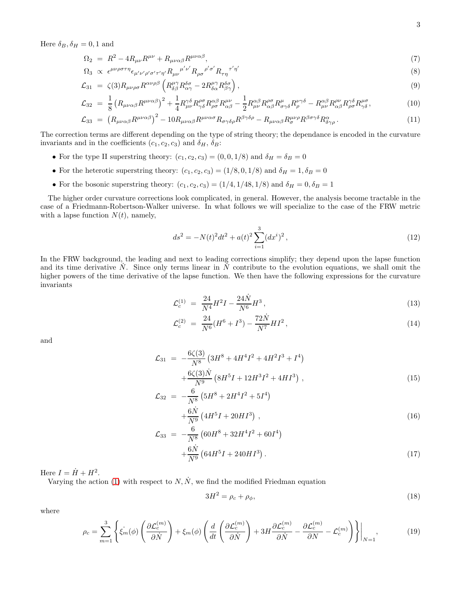Here  $\delta_B, \delta_H = 0, 1$  and

$$
\Omega_2 = R^2 - 4R_{\mu\nu}R^{\mu\nu} + R_{\mu\nu\alpha\beta}R^{\mu\nu\alpha\beta},\tag{7}
$$

$$
\Omega_3 \propto \epsilon^{\mu\nu\rho\sigma\tau\eta} \epsilon_{\mu'\nu'\rho'\sigma'\tau'\eta'} R_{\mu\nu}^{\mu'\nu'} R_{\rho\sigma}^{\rho'\sigma'} R_{\tau\eta}^{\tau'\eta'} \tag{8}
$$

$$
\mathcal{L}_{31} = \zeta(3) R_{\mu\nu\rho\sigma} R^{\alpha\nu\rho\beta} \left( R^{\mu\gamma}_{\delta\beta} R^{\delta\sigma}_{\alpha\gamma} - 2 R^{\mu\gamma}_{\delta\alpha} R^{\delta\sigma}_{\beta\gamma} \right), \tag{9}
$$

$$
\mathcal{L}_{32} = \frac{1}{8} \left( R_{\mu\nu\alpha\beta} R^{\mu\nu\alpha\beta} \right)^2 + \frac{1}{4} R^{\gamma\delta}_{\mu\nu} R^{\rho\sigma}_{\gamma\delta} R^{\alpha\beta}_{\rho\sigma} R^{\mu\nu}_{\alpha\beta} - \frac{1}{2} R^{\alpha\beta}_{\mu\nu} R^{\rho\sigma}_{\alpha\beta} R^{\mu}_{\sigma\gamma\delta} R^{\nu\gamma\delta}_{\rho} - R^{\alpha\beta}_{\mu\nu} R^{\rho\nu}_{\alpha\beta} R^{\rho\nu}_{\rho\sigma} R^{\nu\sigma}_{\gamma\delta}, \tag{10}
$$

$$
\mathcal{L}_{33} = \left( R_{\mu\nu\alpha\beta} R^{\mu\nu\alpha\beta} \right)^2 - 10 R_{\mu\nu\alpha\beta} R^{\mu\nu\alpha\sigma} R_{\sigma\gamma\delta\rho} R^{\beta\gamma\delta\rho} - R_{\mu\nu\alpha\beta} R^{\mu\nu\rho}_{\sigma} R^{\beta\sigma\gamma\delta} R^{\alpha}_{\delta\gamma\rho} . \tag{11}
$$

The correction terms are different depending on the type of string theory; the dependance is encoded in the curvature invariants and in the coefficients  $(c_1, c_2, c_3)$  and  $\delta_H$ ,  $\delta_B$ :

- For the type II superstring theory:  $(c_1, c_2, c_3) = (0, 0, 1/8)$  and  $\delta_H = \delta_B = 0$
- For the heterotic superstring theory:  $(c_1, c_2, c_3) = (1/8, 0, 1/8)$  and  $\delta_H = 1, \delta_B = 0$
- For the bosonic superstring theory:  $(c_1, c_2, c_3) = (1/4, 1/48, 1/8)$  and  $\delta_H = 0, \delta_B = 1$

The higher order curvature corrections look complicated, in general. However, the analysis become tractable in the case of a Friedmann-Robertson-Walker universe. In what follows we will specialize to the case of the FRW metric with a lapse function  $N(t)$ , namely,

$$
ds^{2} = -N(t)^{2}dt^{2} + a(t)^{2} \sum_{i=1}^{3} (dx^{i})^{2}, \qquad (12)
$$

In the FRW background, the leading and next to leading corrections simplify; they depend upon the lapse function and its time derivative  $N$ . Since only terms linear in  $N$  contribute to the evolution equations, we shall omit the higher powers of the time derivative of the lapse function. We then have the following expressions for the curvature invariants

$$
\mathcal{L}_c^{(1)} = \frac{24}{N^4} H^2 I - \frac{24\dot{N}}{N^6} H^3, \qquad (13)
$$

$$
\mathcal{L}_c^{(2)} = \frac{24}{N^6} (H^6 + I^3) - \frac{72N}{N^7} H I^2, \qquad (14)
$$

and

$$
\mathcal{L}_{31} = -\frac{6\zeta(3)}{N^8} \left( 3H^8 + 4H^4I^2 + 4H^2I^3 + I^4 \right) \n+ \frac{6\zeta(3)\dot{N}}{N^9} \left( 8H^5I + 12H^3I^2 + 4HI^3 \right),
$$
\n(15)

$$
\mathcal{L}_{32} = -\frac{6}{N^8} \left( 5H^8 + 2H^4I^2 + 5I^4 \right) + \frac{6\dot{N}}{N^9} \left( 4H^5I + 20HI^3 \right), \tag{16}
$$

$$
\mathcal{L}_{33} = -\frac{6}{N^8} \left( 60H^8 + 32H^4I^2 + 60I^4 \right) + \frac{6\dot{N}}{N^9} \left( 64H^5I + 240HI^3 \right).
$$
\n(17)

Here  $I = \dot{H} + H^2$ .

Varying the action [\(1\)](#page-1-0) with respect to  $N, \dot{N}$ , we find the modified Friedman equation

<span id="page-2-0"></span>
$$
3H^2 = \rho_c + \rho_\phi,\tag{18}
$$

where

$$
\rho_c = \sum_{m=1}^3 \left\{ \xi_m(\phi) \left( \frac{\partial \mathcal{L}_c^{(m)}}{\partial N} \right) + \xi_m(\phi) \left( \frac{d}{dt} \left( \frac{\partial \mathcal{L}_c^{(m)}}{\partial N} \right) + 3H \frac{\partial \mathcal{L}_c^{(m)}}{\partial N} - \frac{\partial \mathcal{L}_c^{(m)}}{\partial N} - \mathcal{L}_c^{(m)} \right) \right\} \Big|_{N=1},\tag{19}
$$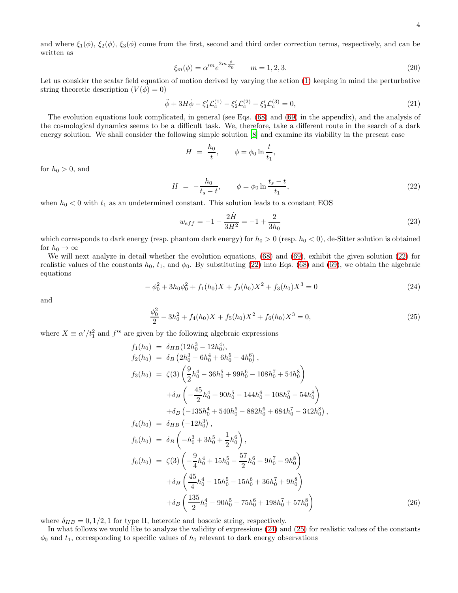and where  $\xi_1(\phi)$ ,  $\xi_2(\phi)$ ,  $\xi_3(\phi)$  come from the first, second and third order correction terms, respectively, and can be written as

$$
\xi_m(\phi) = \alpha'^m e^{2m \frac{\phi}{\phi_0}} \qquad m = 1, 2, 3. \tag{20}
$$

Let us consider the scalar field equation of motion derived by varying the action [\(1\)](#page-1-0) keeping in mind the perturbative string theoretic description  $(V(\phi) = 0)$ 

$$
\ddot{\phi} + 3H\dot{\phi} - \xi_1'\mathcal{L}_c^{(1)} - \xi_2'\mathcal{L}_c^{(2)} - \xi_3'\mathcal{L}_c^{(3)} = 0,
$$
\n(21)

The evolution equations look complicated, in general (see Eqs. [\(68\)](#page-13-0) and [\(69\)](#page-14-17) in the appendix), and the analysis of the cosmological dynamics seems to be a difficult task. We, therefore, take a different route in the search of a dark energy solution. We shall consider the following simple solution [\[8](#page-14-7)] and examine its viability in the present case

$$
H = \frac{h_0}{t}, \qquad \phi = \phi_0 \ln \frac{t}{t_1},
$$

for  $h_0 > 0$ , and

<span id="page-3-0"></span>
$$
H = -\frac{h_0}{t_s - t}, \qquad \phi = \phi_0 \ln \frac{t_s - t}{t_1}, \tag{22}
$$

when  $h_0 < 0$  with  $t_1$  as an undetermined constant. This solution leads to a constant EOS

$$
w_{eff} = -1 - \frac{2\dot{H}}{3H^2} = -1 + \frac{2}{3h_0}
$$
\n(23)

which corresponds to dark energy (resp. phantom dark energy) for  $h_0 > 0$  (resp.  $h_0 < 0$ ), de-Sitter solution is obtained for  $h_0 \to \infty$ 

We will next analyze in detail whether the evolution equations,  $(68)$  and  $(69)$ , exhibit the given solution  $(22)$  for realistic values of the constants  $h_0$ ,  $t_1$ , and  $\phi_0$ . By substituting [\(22\)](#page-3-0) into Eqs. [\(68\)](#page-13-0) and [\(69\)](#page-14-17), we obtain the algebraic equations

<span id="page-3-1"></span>
$$
-\phi_0^2 + 3h_0\phi_0^2 + f_1(h_0)X + f_2(h_0)X^2 + f_3(h_0)X^3 = 0
$$
\n(24)

and

<span id="page-3-2"></span>
$$
\frac{\phi_0^2}{2} - 3h_0^2 + f_4(h_0)X + f_5(h_0)X^2 + f_6(h_0)X^3 = 0,
$$
\n(25)

where  $X \equiv \alpha'/t_1^2$  and  $f'^s$  are given by the following algebraic expressions

$$
f_1(h_0) = \delta_{HB} (12h_0^3 - 12h_0^4),
$$
  
\n
$$
f_2(h_0) = \delta_B (2h_0^3 - 6h_0^4 + 6h_0^5 - 4h_0^6),
$$
  
\n
$$
f_3(h_0) = \zeta(3) \left( \frac{9}{2} h_0^4 - 36h_0^5 + 99h_0^6 - 108h_0^7 + 54h_0^8 \right)
$$
  
\n
$$
+ \delta_H \left( -\frac{45}{2} h_0^4 + 90h_0^5 - 144h_0^6 + 108h_0^7 - 54h_0^8 \right)
$$
  
\n
$$
+ \delta_B (-135h_0^4 + 540h_0^5 - 882h_0^6 + 684h_0^7 - 342h_0^8),
$$
  
\n
$$
f_4(h_0) = \delta_{HB} (-12h_0^3),
$$
  
\n
$$
f_5(h_0) = \delta_B \left( -h_0^3 + 3h_0^5 + \frac{1}{2}h_0^6 \right),
$$
  
\n
$$
f_6(h_0) = \zeta(3) \left( -\frac{9}{4}h_0^4 + 15h_0^5 - \frac{57}{2}h_0^6 + 9h_0^7 - 9h_0^8 \right)
$$
  
\n
$$
+ \delta_H \left( \frac{45}{4}h_0^4 - 15h_0^5 - 15h_0^6 + 36h_0^7 + 9h_0^8 \right)
$$
  
\n
$$
+ \delta_B \left( \frac{135}{2}h_0^4 - 90h_0^5 - 75h_0^6 + 198h_0^7 + 57h_0^8 \right)
$$
  
\n(26)

where  $\delta_{HB} = 0, 1/2, 1$  for type II, heterotic and bosonic string, respectively.

In what follows we would like to analyze the validity of expressions [\(24\)](#page-3-1) and [\(25\)](#page-3-2) for realistic values of the constants  $\phi_0$  and  $t_1$ , corresponding to specific values of  $h_0$  relevant to dark energy observations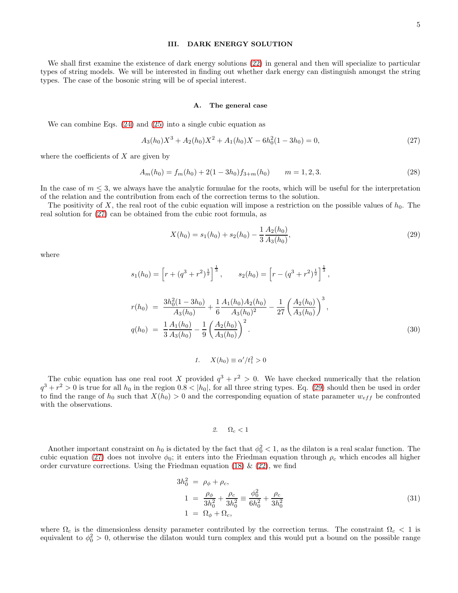### III. DARK ENERGY SOLUTION

We shall first examine the existence of dark energy solutions [\(22\)](#page-3-0) in general and then will specialize to particular types of string models. We will be interested in finding out whether dark energy can distinguish amongst the string types. The case of the bosonic string will be of special interest.

### A. The general case

We can combine Eqs. [\(24\)](#page-3-1) and [\(25\)](#page-3-2) into a single cubic equation as

<span id="page-4-0"></span>
$$
A_3(h_0)X^3 + A_2(h_0)X^2 + A_1(h_0)X - 6h_0^2(1 - 3h_0) = 0,
$$
\n(27)

where the coefficients of  $X$  are given by

$$
A_m(h_0) = f_m(h_0) + 2(1 - 3h_0)f_{3+m}(h_0) \qquad m = 1, 2, 3. \tag{28}
$$

In the case of  $m \leq 3$ , we always have the analytic formulae for the roots, which will be useful for the interpretation of the relation and the contribution from each of the correction terms to the solution.

The positivity of X, the real root of the cubic equation will impose a restriction on the possible values of  $h_0$ . The real solution for [\(27\)](#page-4-0) can be obtained from the cubic root formula, as

<span id="page-4-1"></span>
$$
X(h_0) = s_1(h_0) + s_2(h_0) - \frac{1}{3} \frac{A_2(h_0)}{A_3(h_0)},
$$
\n(29)

where

$$
s_1(h_0) = \left[r + (q^3 + r^2)^{\frac{1}{2}}\right]^{\frac{1}{3}}, \qquad s_2(h_0) = \left[r - (q^3 + r^2)^{\frac{1}{2}}\right]^{\frac{1}{3}},
$$
  

$$
r(h_0) = \frac{3h_0^2(1 - 3h_0)}{A_3(h_0)} + \frac{1}{6}\frac{A_1(h_0)A_2(h_0)}{A_3(h_0)^2} - \frac{1}{27}\left(\frac{A_2(h_0)}{A_3(h_0)}\right)^3,
$$
  

$$
q(h_0) = \frac{1}{3}\frac{A_1(h_0)}{A_3(h_0)} - \frac{1}{9}\left(\frac{A_2(h_0)}{A_3(h_0)}\right)^2.
$$
 (30)

1.  $X(h_0) \equiv \alpha'/t_1^2 > 0$ 

The cubic equation has one real root X provided  $q^3 + r^2 > 0$ . We have checked numerically that the relation  $q^3 + r^2 > 0$  is true for all  $h_0$  in the region  $0.8 < |h_0|$ , for all three string types. Eq. [\(29\)](#page-4-1) should then be used in order to find the range of  $h_0$  such that  $X(h_0) > 0$  and the corresponding equation of state parameter  $w_{eff}$  be confronted with the observations.

# 2.  $\Omega_c < 1$

Another important constraint on  $h_0$  is dictated by the fact that  $\phi_0^2 < 1$ , as the dilaton is a real scalar function. The cubic equation [\(27\)](#page-4-0) does not involve  $\phi_0$ ; it enters into the Friedman equation through  $\rho_c$  which encodes all higher order curvature corrections. Using the Friedman equation [\(18\)](#page-2-0)  $\&$  [\(22\)](#page-3-0), we find

$$
3h_0^2 = \rho_{\phi} + \rho_c,
$$
  
\n
$$
1 = \frac{\rho_{\phi}}{3h_0^2} + \frac{\rho_c}{3h_0^2} \equiv \frac{\phi_0^2}{6h_0^2} + \frac{\rho_c}{3h_0^2}
$$
  
\n
$$
1 = \Omega_{\phi} + \Omega_c,
$$
\n(31)

where  $\Omega_c$  is the dimensionless density parameter contributed by the correction terms. The constraint  $\Omega_c < 1$  is equivalent to  $\phi_0^2 > 0$ , otherwise the dilaton would turn complex and this would put a bound on the possible range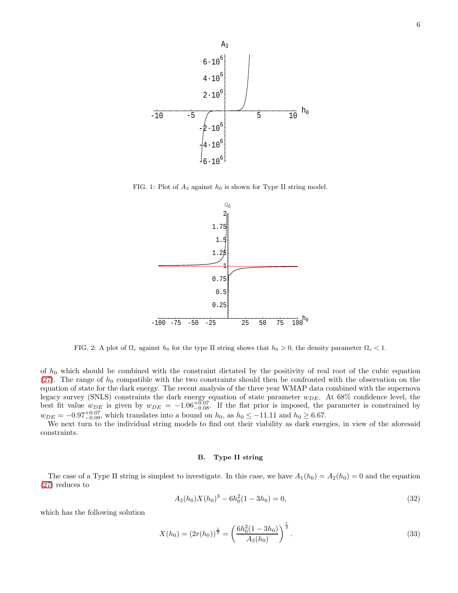

FIG. 1: Plot of  $A_3$  against  $h_0$  is shown for Type II string model.



FIG. 2: A plot of  $\Omega_c$  against  $h_0$  for the type II string shows that  $h_0 > 0$ , the density parameter  $\Omega_c < 1$ .

of  $h_0$  which should be combined with the constraint dictated by the positivity of real root of the cubic equation [\(27\)](#page-4-0). The range of  $h_0$  compatible with the two constraints should then be confronted with the observation on the equation of state for the dark energy. The recent analysis of the three year WMAP data combined with the supernova legacy survey (SNLS) constraints the dark energy equation of state parameter  $w_{DE}$ . At 68% confidence level, the best fit value  $w_{DE}$  is given by  $w_{DE} = -1.06_{-0.08}^{+0.07}$ . If the flat prior is imposed, the parameter is constrained by  $w_{DE} = -0.97_{-0.09}^{+0.07}$ , which translates into a bound on  $h_0$ , as  $h_0 \le -11.11$  and  $h_0 \ge 6.67$ .

We next turn to the individual string models to find out their viability as dark energies, in view of the aforesaid constraints.

# B. Type II string

The case of a Type II string is simplest to investigate. In this case, we have  $A_1(h_0) = A_2(h_0) = 0$  and the equation [\(27\)](#page-4-0) reduces to

$$
A_3(h_0)X(h_0)^3 - 6h_0^2(1 - 3h_0) = 0,
$$
\n(32)

which has the following solution

<span id="page-5-0"></span>
$$
X(h_0) = (2r(h_0))^{\frac{1}{3}} = \left(\frac{6h_0^2(1-3h_0)}{A_3(h_0)}\right)^{\frac{1}{3}}.
$$
\n(33)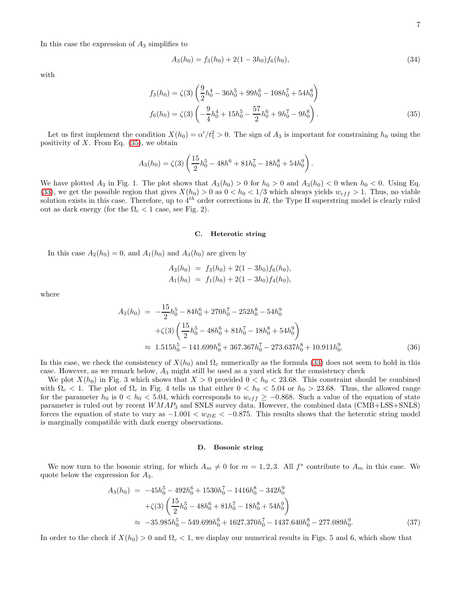In this case the expression of  $A_3$  simplifies to

$$
A_3(h_0) = f_3(h_0) + 2(1 - 3h_0)f_6(h_0),
$$
\n(34)

with

<span id="page-6-0"></span>
$$
f_3(h_0) = \zeta(3) \left( \frac{9}{2} h_0^4 - 36 h_0^5 + 99 h_0^6 - 108 h_0^7 + 54 h_0^8 \right)
$$
  

$$
f_6(h_0) = \zeta(3) \left( -\frac{9}{4} h_0^4 + 15 h_0^5 - \frac{57}{2} h_0^6 + 9 h_0^7 - 9 h_0^8 \right).
$$
 (35)

Let us first implement the condition  $X(h_0) = \alpha'/t_1^2 > 0$ . The sign of  $A_3$  is important for constraining  $h_0$  using the positivity of  $X$ . From Eq.  $(35)$ , we obtain

$$
A_3(h_0) = \zeta(3) \left( \frac{15}{2} h_0^5 - 48h_0^6 + 81h_0^7 - 18h_0^8 + 54h_0^9 \right).
$$

We have plotted  $A_3$  in Fig. 1. The plot shows that  $A_3(h_0) > 0$  for  $h_0 > 0$  and  $A_3(h_0) < 0$  when  $h_0 < 0$ . Using Eq. [\(33\)](#page-5-0), we get the possible region that gives  $X(h_0) > 0$  as  $0 < h_0 < 1/3$  which always yields  $w_{eff} > 1$ . Thus, no viable solution exists in this case. Therefore, up to  $4^{th}$  order corrections in R, the Type II superstring model is clearly ruled out as dark energy (for the  $\Omega_c < 1$  case, see Fig. 2).

### C. Heterotic string

In this case  $A_2(h_0) = 0$ , and  $A_1(h_0)$  and  $A_3(h_0)$  are given by

$$
A_3(h_0) = f_3(h_0) + 2(1 - 3h_0)f_6(h_0),
$$
  
\n
$$
A_1(h_0) = f_1(h_0) + 2(1 - 3h_0)f_4(h_0),
$$

where

$$
A_3(h_0) = -\frac{15}{2}h_0^5 - 84h_0^6 + 270h_0^7 - 252h_0^8 - 54h_0^9
$$
  
+ $\zeta(3)\left(\frac{15}{2}h_0^5 - 48h_0^6 + 81h_0^7 - 18h_0^8 + 54h_0^9\right)$   
 $\approx 1.515h_0^5 - 141.699h_0^6 + 367.367h_0^7 - 273.637h_0^8 + 10.911h_0^9.$  (36)

In this case, we check the consistency of  $X(h_0)$  and  $\Omega_c$  numerically as the formula [\(33\)](#page-5-0) does not seem to hold in this case. However, as we remark below,  $A_3$  might still be used as a yard stick for the consistency check

We plot  $X(h_0)$  in Fig. 3 which shows that  $X > 0$  provided  $0 < h_0 < 23.68$ . This constraint should be combined with  $\Omega_c < 1$ . The plot of  $\Omega_c$  in Fig. 4 tells us that either  $0 < h_0 < 5.04$  or  $h_0 > 23.68$ . Thus, the allowed range for the parameter  $h_0$  is  $0 < h_0 < 5.04$ , which corresponds to  $w_{eff} \ge -0.868$ . Such a value of the equation of state parameter is ruled out by recent  $WMAP_3$  and SNLS survey data. However, the combined data ( $\text{CMB+LSS+SNLS}$ ) forces the equation of state to vary as  $-1.001 < w_{DE} < -0.875$ . This results shows that the heterotic string model is marginally compatible with dark energy observations.

### D. Bosonic string

We now turn to the bosonic string, for which  $A_m \neq 0$  for  $m = 1, 2, 3$ . All  $f^s$  contribute to  $A_m$  in this case. We quote below the expression for  $A_3$ .

$$
A_3(h_0) = -45h_0^5 - 492h_0^6 + 1530h_0^7 - 1416h_0^8 - 342h_0^9
$$
  
+ $\zeta(3)\left(\frac{15}{2}h_0^5 - 48h_0^6 + 81h_0^7 - 18h_0^8 + 54h_0^9\right)$   
 $\approx -35.985h_0^5 - 549.699h_0^6 + 1627.370h_0^7 - 1437.640h_0^8 - 277.089h_0^9.$  (37)

In order to the check if  $X(h_0) > 0$  and  $\Omega_c < 1$ , we display our numerical results in Figs. 5 and 6, which show that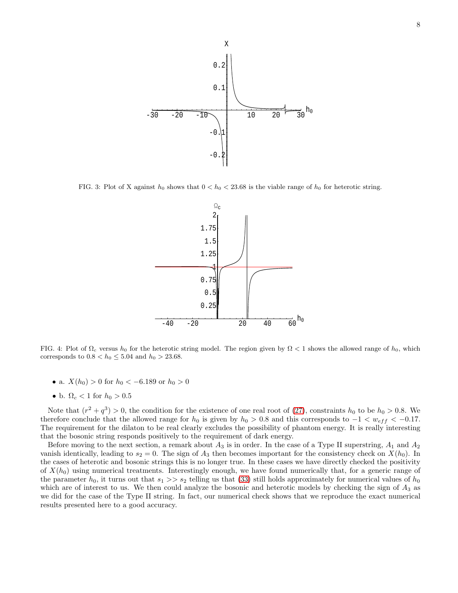

FIG. 3: Plot of X against  $h_0$  shows that  $0 < h_0 < 23.68$  is the viable range of  $h_0$  for heterotic string.



FIG. 4: Plot of  $\Omega_c$  versus  $h_0$  for the heterotic string model. The region given by  $\Omega < 1$  shows the allowed range of  $h_0$ , which corresponds to  $0.8 < h_0 \leq 5.04$  and  $h_0 > 23.68$ .

- a.  $X(h_0) > 0$  for  $h_0 < -6.189$  or  $h_0 > 0$
- b.  $\Omega_c < 1$  for  $h_0 > 0.5$

Note that  $(r^2 + q^3) > 0$ , the condition for the existence of one real root of [\(27\)](#page-4-0), constraints  $h_0$  to be  $h_0 > 0.8$ . We therefore conclude that the allowed range for  $h_0$  is given by  $h_0 > 0.8$  and this corresponds to  $-1 < w_{eff} < -0.17$ . The requirement for the dilaton to be real clearly excludes the possibility of phantom energy. It is really interesting that the bosonic string responds positively to the requirement of dark energy.

Before moving to the next section, a remark about  $A_3$  is in order. In the case of a Type II superstring,  $A_1$  and  $A_2$ vanish identically, leading to  $s_2 = 0$ . The sign of  $A_3$  then becomes important for the consistency check on  $X(h_0)$ . In the cases of heterotic and bosonic strings this is no longer true. In these cases we have directly checked the positivity of  $X(h_0)$  using numerical treatments. Interestingly enough, we have found numerically that, for a generic range of the parameter  $h_0$ , it turns out that  $s_1 >> s_2$  telling us that [\(33\)](#page-5-0) still holds approximately for numerical values of  $h_0$ which are of interest to us. We then could analyze the bosonic and heterotic models by checking the sign of  $A_3$  as we did for the case of the Type II string. In fact, our numerical check shows that we reproduce the exact numerical results presented here to a good accuracy.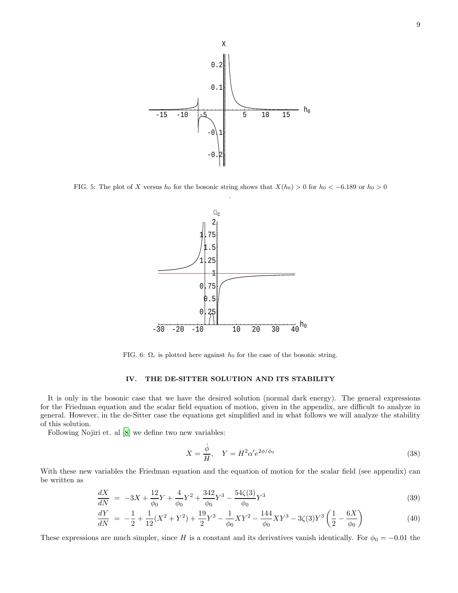

FIG. 5: The plot of X versus  $h_0$  for the bosonic string shows that  $X(h_0) > 0$  for  $h_0 < -6.189$  or  $h_0 > 0$ 



FIG. 6:  $\Omega_c$  is plotted here against  $h_0$  for the case of the bosonic string.

# IV. THE DE-SITTER SOLUTION AND ITS STABILITY

It is only in the bosonic case that we have the desired solution (normal dark energy). The general expressions for the Friedman equation and the scalar field equation of motion, given in the appendix, are difficult to analyze in general. However, in the de-Sitter case the equations get simplified and in what follows we will analyze the stability of this solution.

Following Nojiri et. al [\[8\]](#page-14-7) we define two new variables:

$$
X = \frac{\dot{\phi}}{H}, \quad Y = H^2 \alpha' e^{2\phi/\phi_0} \tag{38}
$$

With these new variables the Friedman equation and the equation of motion for the scalar field (see appendix) can be written as

$$
\frac{dX}{dN} = -3X + \frac{12}{\phi_0}Y + \frac{4}{\phi_0}Y^2 + \frac{342}{\phi_0}Y^3 - \frac{54\zeta(3)}{\phi_0}Y^3 \tag{39}
$$

$$
\frac{dY}{dN} = -\frac{1}{2} + \frac{1}{12}(X^2 + Y^2) + \frac{19}{2}Y^3 - \frac{1}{\phi_0}XY^2 - \frac{144}{\phi_0}XY^3 - 3\zeta(3)Y^3\left(\frac{1}{2} - \frac{6X}{\phi_0}\right)
$$
(40)

These expressions are much simpler, since H is a constant and its derivatives vanish identically. For  $\phi_0 = -0.01$  the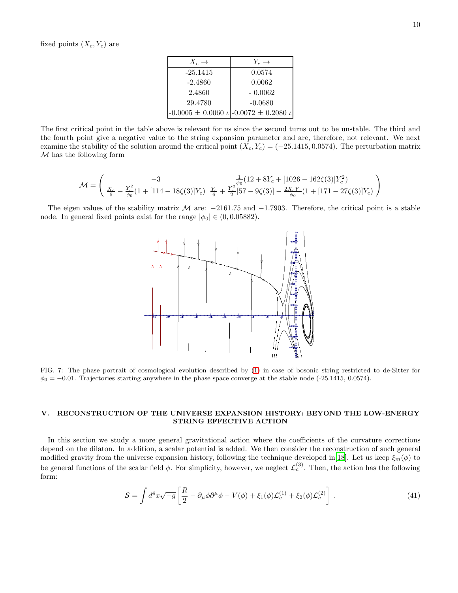| $X_c \rightarrow$ | $Y_c \rightarrow$                                           |
|-------------------|-------------------------------------------------------------|
| $-25.1415$        | 0.0574                                                      |
| $-2.4860$         | 0.0062                                                      |
| 2.4860            | $-0.0062$                                                   |
| 29.4780           | $-0.0680$                                                   |
|                   | $-0.0005 \pm 0.0060 \t\t\iota$ -0.0072 $\pm$ 0.2080 $\iota$ |

The first critical point in the table above is relevant for us since the second turns out to be unstable. The third and the fourth point give a negative value to the string expansion parameter and are, therefore, not relevant. We next examine the stability of the solution around the critical point  $(X_c, Y_c) = (-25.1415, 0.0574)$ . The perturbation matrix  $M$  has the following form

$$
\mathcal{M} = \begin{pmatrix} -3 & \frac{1}{\phi_0} (12 + 8Y_c + [1026 - 162\zeta(3)]Y_c^2) \\ \frac{X_c}{6} - \frac{Y_c^2}{\phi_0} (1 + [114 - 18\zeta(3)]Y_c) & \frac{Y_c}{6} + \frac{Y_c^2}{2} [57 - 9\zeta(3)] - \frac{2X_cY_c}{\phi_0} (1 + [171 - 27\zeta(3)]Y_c) \end{pmatrix}
$$

The eigen values of the stability matrix M are:  $-2161.75$  and  $-1.7903$ . Therefore, the critical point is a stable node. In general fixed points exist for the range  $|\phi_0| \in (0, 0.05882)$ .



FIG. 7: The phase portrait of cosmological evolution described by [\(1\)](#page-1-0) in case of bosonic string restricted to de-Sitter for  $\phi_0 = -0.01$ . Trajectories starting anywhere in the phase space converge at the stable node (-25.1415, 0.0574).

## V. RECONSTRUCTION OF THE UNIVERSE EXPANSION HISTORY: BEYOND THE LOW-ENERGY STRING EFFECTIVE ACTION

In this section we study a more general gravitational action where the coefficients of the curvature corrections depend on the dilaton. In addition, a scalar potential is added. We then consider the reconstruction of such general modified gravity from the universe expansion history, following the technique developed in[\[18](#page-14-18)]. Let us keep  $\xi_m(\phi)$  to be general functions of the scalar field  $\phi$ . For simplicity, however, we neglect  $\mathcal{L}_c^{(3)}$ . Then, the action has the following form:

$$
S = \int d^4x \sqrt{-g} \left[ \frac{R}{2} - \partial_\mu \phi \partial^\mu \phi - V(\phi) + \xi_1(\phi) \mathcal{L}_c^{(1)} + \xi_2(\phi) \mathcal{L}_c^{(2)} \right] \,. \tag{41}
$$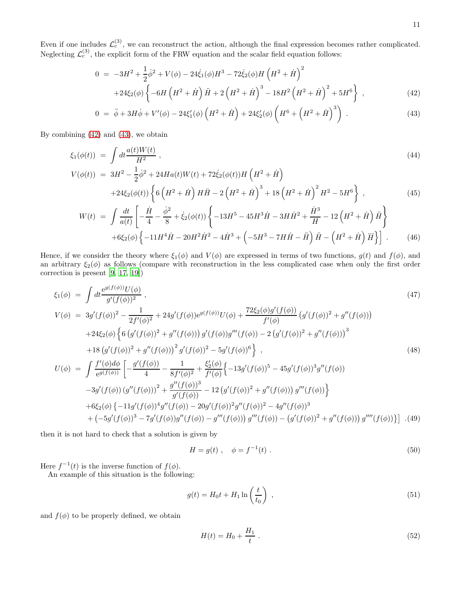Even if one includes  $\mathcal{L}_c^{(3)}$ , we can reconstruct the action, although the final expression becomes rather complicated. Neglecting  $\mathcal{L}_c^{(3)}$ , the explicit form of the FRW equation and the scalar field equation follows:

<span id="page-10-0"></span>
$$
0 = -3H^2 + \frac{1}{2}\dot{\phi}^2 + V(\phi) - 24\dot{\xi}_1(\phi)H^3 - 72\dot{\xi}_2(\phi)H\left(H^2 + \dot{H}\right)^2 + 24\xi_2(\phi)\left\{-6H\left(H^2 + \dot{H}\right)\ddot{H} + 2\left(H^2 + \dot{H}\right)^3 - 18H^2\left(H^2 + \dot{H}\right)^2 + 5H^6\right\},\tag{42}
$$

$$
0 = \ddot{\phi} + 3H\dot{\phi} + V'(\phi) - 24\xi_1'(\phi)\left(H^2 + \dot{H}\right) + 24\xi_2'(\phi)\left(H^6 + \left(H^2 + \dot{H}\right)^3\right) \,. \tag{43}
$$

By combining [\(42\)](#page-10-0) and [\(43\)](#page-10-0), we obtain

$$
\xi_1(\phi(t)) = \int dt \frac{a(t)W(t)}{H^2},
$$
\n
$$
V(\phi(t)) = 3H^2 - \frac{1}{2}\dot{\phi}^2 + 24Ha(t)W(t) + 72\dot{\xi}_2(\phi(t))H\left(H^2 + \dot{H}\right)
$$
\n
$$
+24\xi_2(\phi(t))\left\{6\left(H^2 + \dot{H}\right)H\ddot{H} - 2\left(H^2 + \dot{H}\right)^3 + 18\left(H^2 + \dot{H}\right)^2H^2 - 5H^6\right\},
$$
\n(45)

$$
W(t) = \int \frac{dt}{a(t)} \left[ -\frac{\dot{H}}{4} - \frac{\dot{\phi}^2}{8} + \dot{\xi}_2(\phi(t)) \left\{ -13H^5 - 45H^3\dot{H} - 3H\dot{H}^2 + \frac{\dot{H}^3}{H} - 12\left(H^2 + \dot{H}\right)\ddot{H} \right\} + 6\xi_2(\phi) \left\{ -11H^4\dot{H} - 20H^2\dot{H}^2 - 4\dot{H}^3 + \left(-5H^3 - 7H\dot{H} - \ddot{H}\right)\ddot{H} - \left(H^2 + \dot{H}\right)\dddot{H} \right\} \right].
$$
 (46)

Hence, if we consider the theory where  $\xi_1(\phi)$  and  $V(\phi)$  are expressed in terms of two functions,  $g(t)$  and  $f(\phi)$ , and an arbitrary  $\xi_2(\phi)$  as follows (compare with reconstruction in the less complicated case when only the first order correction is present [\[9,](#page-14-8) [17](#page-14-16), [19](#page-14-19)])

$$
\xi_{1}(\phi) = \int dt \frac{e^{g(f(\phi))}U(\phi)}{g'(f(\phi))^{2}} ,
$$
\n
$$
V(\phi) = 3g'(f(\phi))^{2} - \frac{1}{2f'(\phi)^{2}} + 24g'(f(\phi))e^{g(f(\phi))}U(\phi) + \frac{72\xi_{2}(\phi)g'(f(\phi))}{f'(\phi)}(g'(f(\phi))^{2} + g''(f(\phi)))
$$
\n
$$
+24\xi_{2}(\phi)\left\{6(g'(f(\phi))^{2} + g''(f(\phi)))g'(f(\phi))g'''(f(\phi)) - 2(g'(f(\phi))^{2} + g''(f(\phi)))^{3}\right\} + 18(g'(f(\phi))^{2} + g''(f(\phi)))^{2}g'(f(\phi))^{2} - 5g'(f(\phi))^{6}\right\} ,
$$
\n
$$
U(\phi) = \int \frac{f'(\phi)d\phi}{e^{g(f(\phi))}}\left[-\frac{g'(f(\phi))}{4} - \frac{1}{8f'(\phi)^{2}} + \frac{\xi_{2}'(\phi)}{f'(\phi)}\left\{-13g'(f(\phi))^{5} - 45g'(f(\phi))^{3}g''(f(\phi))\right\} - 3g'(f(\phi))\left(g''(f(\phi))\right)^{2} + \frac{g''(f(\phi))^{3}}{g'(f(\phi))} - 12\left(g'(f(\phi))^{2} + g''(f(\phi))\right)g'''(f(\phi))\right\} + 6\xi_{2}(\phi)\left\{-11g'(f(\phi))^{4}g''(f(\phi)) - 20g'(f(\phi))^{2}g''(f(\phi))^{2} - 4g''(f(\phi))^{3}\right\} - 4g''(f(\phi))g'''(f(\phi))\right\} . (49)
$$

then it is not hard to check that a solution is given by

$$
H = g(t) , \quad \phi = f^{-1}(t) . \tag{50}
$$

Here  $f^{-1}(t)$  is the inverse function of  $f(\phi)$ .

An example of this situation is the following:

$$
g(t) = H_0 t + H_1 \ln\left(\frac{t}{t_0}\right) \tag{51}
$$

and  $f(\phi)$  to be properly defined, we obtain

<span id="page-10-1"></span>
$$
H(t) = H_0 + \frac{H_1}{t} \tag{52}
$$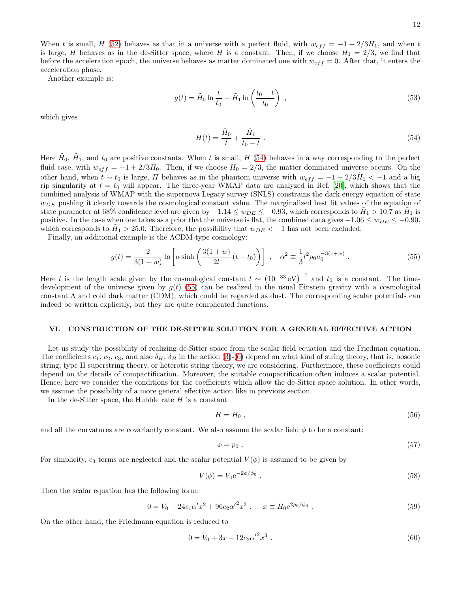When t is small, H [\(52\)](#page-10-1) behaves as that in a universe with a perfect fluid, with  $w_{eff} = -1 + 2/3H_1$ , and when t is large, H behaves as in the de-Sitter space, where H is a constant. Then, if we choose  $H_1 = 2/3$ , we find that before the acceleration epoch, the universe behaves as matter dominated one with  $w_{eff} = 0$ . After that, it enters the acceleration phase.

Another example is:

$$
g(t) = \tilde{H}_0 \ln \frac{t}{t_0} - \tilde{H}_1 \ln \left( \frac{t_0 - t}{t_0} \right) , \qquad (53)
$$

which gives

<span id="page-11-0"></span>
$$
H(t) = \frac{\tilde{H}_0}{t} + \frac{\tilde{H}_1}{t_0 - t} \tag{54}
$$

Here  $H_0$ ,  $H_1$ , and  $t_0$  are positive constants. When t is small, H [\(54\)](#page-11-0) behaves in a way corresponding to the perfect fluid case, with  $w_{eff} = -1 + 2/3\tilde{H}_0$ . Then, if we choose  $\tilde{H}_0 = 2/3$ , the matter dominated universe occurs. On the other hand, when  $t \sim t_0$  is large, H behaves as in the phantom universe with  $w_{eff} = -1 - 2/3\tilde{H}_1 < -1$  and a big rip singularity at  $t = t_0$  will appear. The three-year WMAP data are analyzed in Ref. [\[20\]](#page-14-20), which shows that the combined analysis of WMAP with the supernova Legacy survey (SNLS) constrains the dark energy equation of state  $w_{DE}$  pushing it clearly towards the cosmological constant value. The marginalized best fit values of the equation of state parameter at 68% confidence level are given by  $-1.14 \le w_{DE} \le -0.93$ , which corresponds to  $H_1 > 10.7$  as  $H_1$  is positive. In the case when one takes as a prior that the universe is flat, the combined data gives  $-1.06 \le w_{DE} \le -0.90$ , which corresponds to  $H_1 > 25.0$ . Therefore, the possibility that  $w_{DE} < -1$  has not been excluded.

Finally, an additional example is the ΛCDM-type cosmology:

<span id="page-11-1"></span>
$$
g(t) = \frac{2}{3(1+w)} \ln \left[ \alpha \sinh \left( \frac{3(1+w)}{2l} (t-t_0) \right) \right] , \quad \alpha^2 \equiv \frac{1}{3} l^2 \rho_0 a_0^{-3(1+w)} . \tag{55}
$$

Here l is the length scale given by the cosmological constant  $l \sim (10^{-33} \text{ eV})^{-1}$  and  $t_0$  is a constant. The timedevelopment of the universe given by  $g(t)$  [\(55\)](#page-11-1) can be realized in the usual Einstein gravity with a cosmological constant  $\Lambda$  and cold dark matter (CDM), which could be regarded as dust. The corresponding scalar potentials can indeed be written explicitly, but they are quite complicated functions.

### VI. CONSTRUCTION OF THE DE-SITTER SOLUTION FOR A GENERAL EFFECTIVE ACTION

Let us study the possibility of realizing de-Sitter space from the scalar field equation and the Friedman equation. The coefficients  $c_1, c_2, c_3$ , and also  $\delta_H$ ,  $\delta_B$  in the action [\(3\)](#page-1-1)-[\(6\)](#page-1-2) depend on what kind of string theory, that is, bosonic string, type II superstring theory, or heterotic string theory, we are considering. Furthermore, these coefficients could depend on the details of compactification. Moreover, the suitable compactification often induces a scalar potential. Hence, here we consider the conditions for the coefficients which allow the de-Sitter space solution. In other words, we assume the possibility of a more general effective action like in previous section.

In the de-Sitter space, the Hubble rate  $H$  is a constant

$$
H = H_0 \t\t(56)
$$

and all the curvatures are covariantly constant. We also assume the scalar field  $\phi$  to be a constant:

$$
\phi = p_0 \tag{57}
$$

For simplicity,  $c_3$  terms are neglected and the scalar potential  $V(\phi)$  is assumed to be given by

$$
V(\phi) = V_0 e^{-2\phi/\phi_0} \tag{58}
$$

Then the scalar equation has the following form:

<span id="page-11-2"></span>
$$
0 = V_0 + 24c_1\alpha'x^2 + 96c_2{\alpha'}^2x^3 , \quad x \equiv H_0 e^{2p_0/\phi_0} . \tag{59}
$$

On the other hand, the Friedmann equation is reduced to

<span id="page-11-3"></span>
$$
0 = V_0 + 3x - 12c_2{\alpha'}^2 x^3 \tag{60}
$$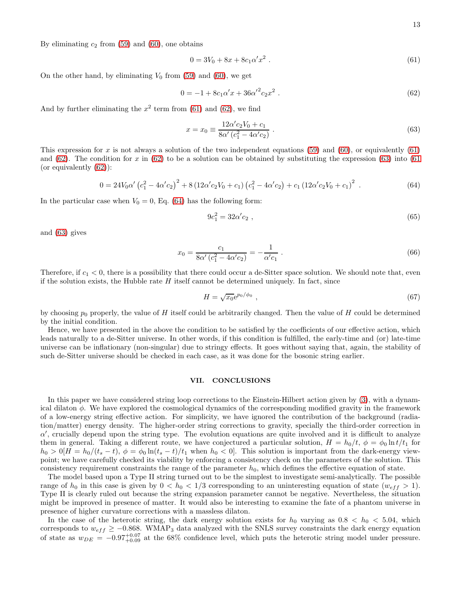By eliminating  $c_2$  from [\(59\)](#page-11-2) and [\(60\)](#page-11-3), one obtains

<span id="page-12-0"></span>
$$
0 = 3V_0 + 8x + 8c_1\alpha' x^2 \tag{61}
$$

On the other hand, by eliminating  $V_0$  from [\(59\)](#page-11-2) and [\(60\)](#page-11-3), we get

<span id="page-12-1"></span>
$$
0 = -1 + 8c_1\alpha'x + 36{\alpha'}^2c_2x^2
$$
 (62)

And by further eliminating the  $x^2$  term from [\(61\)](#page-12-0) and [\(62\)](#page-12-1), we find

<span id="page-12-2"></span>
$$
x = x_0 \equiv \frac{12\alpha' c_2 V_0 + c_1}{8\alpha' (c_1^2 - 4\alpha' c_2)} \,. \tag{63}
$$

This expression for x is not always a solution of the two independent equations [\(59\)](#page-11-2) and [\(60\)](#page-11-3), or equivalently [\(61\)](#page-12-0) and [\(62\)](#page-12-1). The condition for x in (62) to be a solution can be obtained by substituting the expression [\(63\)](#page-12-2) into [\(61](#page-12-0)) (or equivalently [\(62\)](#page-12-1)):

<span id="page-12-3"></span>
$$
0 = 24V_0\alpha' \left(c_1^2 - 4\alpha' c_2\right)^2 + 8\left(12\alpha' c_2 V_0 + c_1\right) \left(c_1^2 - 4\alpha' c_2\right) + c_1\left(12\alpha' c_2 V_0 + c_1\right)^2\tag{64}
$$

In the particular case when  $V_0 = 0$ , Eq. [\(64\)](#page-12-3) has the following form:

$$
9c_1^2 = 32\alpha'c_2 \t{65}
$$

and [\(63\)](#page-12-2) gives

$$
x_0 = \frac{c_1}{8\alpha'\left(c_1^2 - 4\alpha'c_2\right)} = -\frac{1}{\alpha'c_1} \ . \tag{66}
$$

Therefore, if  $c_1 < 0$ , there is a possibility that there could occur a de-Sitter space solution. We should note that, even if the solution exists, the Hubble rate  $H$  itself cannot be determined uniquely. In fact, since

$$
H = \sqrt{x_0} e^{p_0/\phi_0} \t{67}
$$

by choosing  $p_0$  properly, the value of H itself could be arbitrarily changed. Then the value of H could be determined by the initial condition.

Hence, we have presented in the above the condition to be satisfied by the coefficients of our effective action, which leads naturally to a de-Sitter universe. In other words, if this condition is fulfilled, the early-time and (or) late-time universe can be inflationary (non-singular) due to stringy effects. It goes without saying that, again, the stability of such de-Sitter universe should be checked in each case, as it was done for the bosonic string earlier.

# VII. CONCLUSIONS

In this paper we have considered string loop corrections to the Einstein-Hilbert action given by [\(3\)](#page-1-1), with a dynamical dilaton  $\phi$ . We have explored the cosmological dynamics of the corresponding modified gravity in the framework of a low-energy string effective action. For simplicity, we have ignored the contribution of the background (radiation/matter) energy density. The higher-order string corrections to gravity, specially the third-order correction in  $\alpha'$ , crucially depend upon the string type. The evolution equations are quite involved and it is difficult to analyze them in general. Taking a different route, we have conjectured a particular solution,  $H = h_0/t$ ,  $\phi = \phi_0 \ln t/t_1$  for  $h_0 > 0[H = h_0/(t_s - t), \phi = \phi_0 \ln(t_s - t)/t_1$  when  $h_0 < 0$ . This solution is important from the dark-energy viewpoint; we have carefully checked its viability by enforcing a consistency check on the parameters of the solution. This consistency requirement constraints the range of the parameter  $h_0$ , which defines the effective equation of state.

The model based upon a Type II string turned out to be the simplest to investigate semi-analytically. The possible range of  $h_0$  in this case is given by  $0 < h_0 < 1/3$  corresponding to an uninteresting equation of state  $(w_{eff} > 1)$ . Type II is clearly ruled out because the string expansion parameter cannot be negative. Nevertheless, the situation might be improved in presence of matter. It would also be interesting to examine the fate of a phantom universe in presence of higher curvature corrections with a massless dilaton.

In the case of the heterotic string, the dark energy solution exists for  $h_0$  varying as  $0.8 < h_0 < 5.04$ , which corresponds to  $w_{eff} \ge -0.868$ . WMAP<sub>3</sub> data analyzed with the SNLS survey constraints the dark energy equation of state as  $w_{DE} = -0.97_{+0.09}^{+0.07}$  at the 68% confidence level, which puts the heterotic string model under pressure.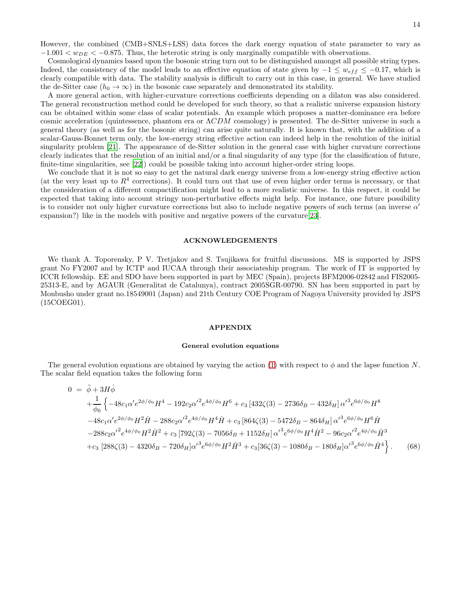However, the combined (CMB+SNLS+LSS) data forces the dark energy equation of state parameter to vary as  $-1.001 < w_{DE} < -0.875$ . Thus, the heterotic string is only marginally compatible with observations.

Cosmological dynamics based upon the bosonic string turn out to be distinguished amongst all possible string types. Indeed, the consistency of the model leads to an effective equation of state given by  $-1 \leq w_{eff} \leq -0.17$ , which is clearly compatible with data. The stability analysis is difficult to carry out in this case, in general. We have studied the de-Sitter case  $(h_0 \to \infty)$  in the bosonic case separately and demonstrated its stability.

A more general action, with higher-curvature corrections coefficients depending on a dilaton was also considered. The general reconstruction method could be developed for such theory, so that a realistic universe expansion history can be obtained within some class of scalar potentials. An example which proposes a matter-dominance era before cosmic acceleration (quintessence, phantom era or ΛCDM cosmology) is presented. The de-Sitter universe in such a general theory (as well as for the bosonic string) can arise quite naturally. It is known that, with the addition of a scalar-Gauss-Bonnet term only, the low-energy string effective action can indeed help in the resolution of the initial singularity problem [\[21\]](#page-14-21). The appearance of de-Sitter solution in the general case with higher curvature corrections clearly indicates that the resolution of an initial and/or a final singularity of any type (for the classification of future, finite-time singularities, see [\[22](#page-14-22)]) could be possible taking into account higher-order string loops.

We conclude that it is not so easy to get the natural dark energy universe from a low-energy string effective action (at the very least up to  $R<sup>4</sup>$  corrections). It could turn out that use of even higher order terms is necessary, or that the consideration of a different compactification might lead to a more realistic universe. In this respect, it could be expected that taking into account stringy non-perturbative effects might help. For instance, one future possibility is to consider not only higher curvature corrections but also to include negative powers of such terms (an inverse  $\alpha'$ expansion?) like in the models with positive and negative powers of the curvature[\[23\]](#page-14-23).

### ACKNOWLEDGEMENTS

We thank A. Toporensky, P V. Tretjakov and S. Tsujikawa for fruitful discussions. MS is supported by JSPS grant No FY2007 and by ICTP and IUCAA through their associateship program. The work of IT is supported by ICCR fellowship. EE and SDO have been supported in part by MEC (Spain), projects BFM2006-02842 and FIS2005- 25313-E, and by AGAUR (Generalitat de Catalunya), contract 2005SGR-00790. SN has been supported in part by Monbusho under grant no.18549001 (Japan) and 21th Century COE Program of Nagoya University provided by JSPS (15COEG01).

### APPENDIX

### General evolution equations

The general evolution equations are obtained by varying the action [\(1\)](#page-1-0) with respect to  $\phi$  and the lapse function N. The scalar field equation takes the following form

<span id="page-13-0"></span>
$$
0 = \ddot{\phi} + 3H\dot{\phi}
$$
  
\n
$$
+ \frac{1}{\phi_0} \left\{ -48c_1\alpha' e^{2\phi/\phi_0} H^4 - 192c_2{\alpha'}^2 e^{4\phi/\phi_0} H^6 + c_3 \left[ 432\zeta(3) - 2736\delta_B - 432\delta_H \right] {\alpha'}^3 e^{6\phi/\phi_0} H^8 \right\}
$$
  
\n
$$
-48c_1{\alpha'} e^{2\phi/\phi_0} H^2 \dot{H} - 288c_2{\alpha'}^2 e^{4\phi/\phi_0} H^4 \dot{H} + c_3 \left[ 864\zeta(3) - 5472\delta_B - 864\delta_H \right] {\alpha'}^3 e^{6\phi/\phi_0} H^6 \dot{H}
$$
  
\n
$$
-288c_2{\alpha'}^2 e^{4\phi/\phi_0} H^2 \dot{H}^2 + c_3 \left[ 792\zeta(3) - 7056\delta_B + 1152\delta_H \right] {\alpha'}^3 e^{6\phi/\phi_0} H^4 \dot{H}^2 - 96c_2{\alpha'}^2 e^{4\phi/\phi_0} \dot{H}^3
$$
  
\n
$$
+ c_3 \left[ 288\zeta(3) - 4320\delta_B - 720\delta_H \right] {\alpha'}^3 e^{6\phi/\phi_0} H^2 \dot{H}^3 + c_3 \left[ 36\zeta(3) - 1080\delta_B - 180\delta_H \right] {\alpha'}^3 e^{6\phi/\phi_0} \dot{H}^4 \right\}.
$$
 (68)